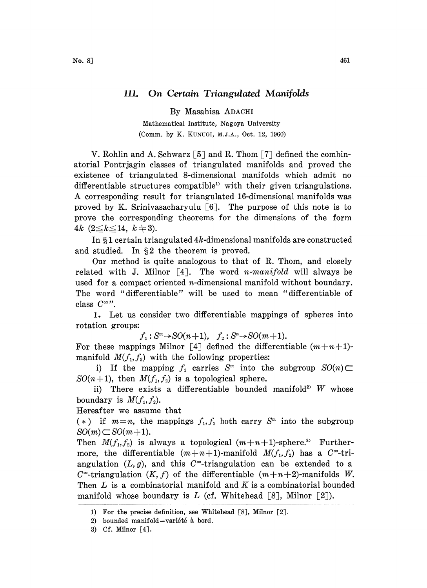## 111. On Certain Triangulated Manifolds

By Masahisa ADACHI

Mathematical Institute, Nagoya University (Comm. by K. KUNUGI, M.J.A., Oct. 12, 1960)

V. Rohlin and A. Schwarz [5] and R. Thom [7] defined the combinatorial Pontrjagin classes of triangulated manifolds and proved the existence of triangulated 8-dimensional manifolds which admit no differentiable structures compatible<sup>1)</sup> with their given triangulations. A corresponding result for triangulated 16-dimensional manifolds was proved by K. Srinivasacharyulu  $\lceil 6 \rceil$ . The purpose of this note is to prove the corresponding theorems for the dimensions of the form 4k  $(2 \leq k \leq 14, k \neq 3)$ .

In  $\S 1$  certain triangulated 4k-dimensional manifolds are constructed and studied. In  $\S 2$  the theorem is proved.

Our method is quite analogous to that of R. Thom, and closely related with J. Milnor  $\lceil 4 \rceil$ . The word *n-manifold* will always be used for a compact oriented *n*-dimensional manifold without boundary. The word "differentiable" will be used to mean "differentiable of class  $C^{\infty}$ ".

1. Let us consider two differentiable mappings of spheres into rotation groups:

 $f_1: S^m \to SO(n+1), \quad f_2: S^n \to SO(m+1).$ 

For these mappings Milnor [4] defined the differentiable  $(m+n+1)$ manifold  $M(f_1, f_2)$  with the following properties:

i) If the mapping  $f_1$  carries  $S<sup>m</sup>$  into the subgroup  $SO(n) \subset$  $SO(n+1)$ , then  $M(f_1, f_2)$  is a topological sphere.

ii) There exists a differentiable bounded manifold<sup>2</sup> *W* whose boundary is  $M(f_1, f_2)$ .

Hereafter we assume that

(\*) if  $m=n$ , the mappings  $f_1, f_2$  both carry  $S<sup>m</sup>$  into the subgroup  $SO(m)\subset SO(m+1).$ 

Then  $M(f_1, f_2)$  is always a topological  $(m+n+1)$ -sphere.<sup>3</sup> Furthermore, the differentiable  $(m+n+1)$ -manifold  $M(f_1, f_2)$  has a  $C^{\infty}$ -triangulation  $(L, g)$ , and this C<sup>oo</sup>-triangulation can be extended to a  $C^{\infty}$ -triangulation  $(K, f)$  of the differentiable  $(m+n+2)$ -manifolds W. Then  $L$  is a combinatorial manifold and  $K$  is a combinatorial bounded manifold whose boundary is L (cf. Whitehead  $[8]$ , Milnor  $[2]$ ).

<sup>1)</sup> For the precise definition, see Whitehead [8], Milnor [2].

<sup>2)</sup> bounded manifold=variété à bord.

<sup>3)</sup> Cf. Milnor [4J.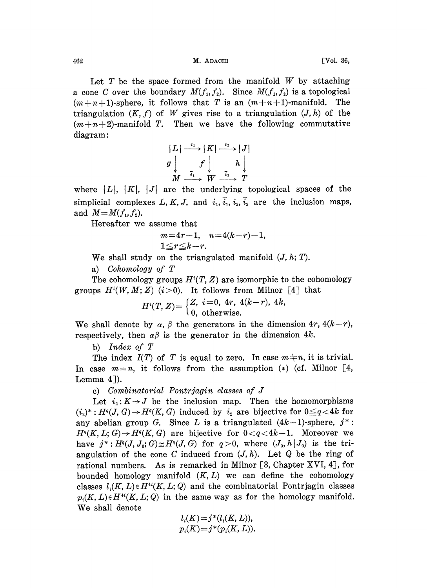462 M. ADACHI [Vol. 36,

Let  $T$  be the space formed from the manifold  $W$  by attaching a cone C over the boundary  $M(f_1, f_2)$ . Since  $M(f_1, f_2)$  is a topological  $(m+n+1)$ -sphere, it follows that T is an  $(m+n+1)$ -manifold. The triangulation  $(K, f)$  of W gives rise to a triangulation  $(J, h)$  of the  $(m+n+2)$ -manifold T. Then we have the following commutative diagram:

$$
|L| \xrightarrow{i_1} |K| \xrightarrow{i_2} |J|
$$
  
\n
$$
g \downarrow \qquad f \downarrow \qquad h \downarrow
$$
  
\n
$$
M \xrightarrow{\overline{i_1}} W \xrightarrow{\overline{i_2}} T
$$

where  $|L|, |K|, |J|$  are the underlying topological spaces of the simplicial complexes L, K, J, and  $i_1$ ,  $\overline{i_1}$ ,  $i_2$ ,  $\overline{i_2}$  are the inclusion maps, and  $M=M(f_1, f_2)$ .

Hereafter we assume that

$$
m=4r-1, n=4(k-r)-1, 1\le r\le k-r.
$$

We shall study on the triangulated manifold  $(J, h; T)$ .

a) Cohomology of T

The cohomology groups  $H^i(T, Z)$  are isomorphic to the cohomology groups  $H^i(W, M; Z)$  (i > 0). It follows from Milnor [4] that

$$
H^{i}(T, Z) = \begin{cases} Z, & i = 0, 4r, 4(k-r), 4k, \\ 0, & \text{otherwise.} \end{cases}
$$

We shall denote by  $\alpha$ ,  $\beta$  the generators in the dimension 4r, 4(k-r), respectively, then  $\alpha\beta$  is the generator in the dimension 4k.

b) Index of T

The index  $I(T)$  of T is equal to zero. In case  $m+n$ , it is trivial. In case  $m=n$ , it follows from the assumption (\*) (cf. Milnor [4, Lemma  $4$ ]).

c) Combinatorial Pontrjagin classes of J

Let  $i_2: K \rightarrow J$  be the inclusion map. Then the homomorphisms  $(i_2)^*: H^q(J, G) \to H^q(K, G)$  induced by  $i_2$  are bijective for  $0 \leq q < 4k$  for any abelian group G. Since L is a triangulated  $(4k-1)$ -sphere,  $j^*$ :  $H^{q}(K, L; G) \to H^{q}(K, G)$  are bijective for  $0 < q < 4k-1$ . Moreover we have  $j^*: H^q(J, J_0; G) \cong H^q(J, G)$  for  $q > 0$ , where  $(J_0, h | J_0)$  is the triangulation of the cone C induced from  $(J, h)$ . Let Q be the ring of rational numbers. As is remarked in Milnor  $[3, Chapter XVI, 4]$ , for bounded homology manifold  $(K, L)$  we can define the cohomology classes  $l_i(K, L) \in H^{4}K, L; Q$  and the combinatorial Pontrjagin classes  $p_i(K, L) \in H^{4}(\mathbb{K}, L; Q)$  in the same way as for the homology manifold. We shall denote

$$
l_i(K)=j^*(l_i(K,L)),
$$
  

$$
p_i(K)=j^*(p_i(K,L)).
$$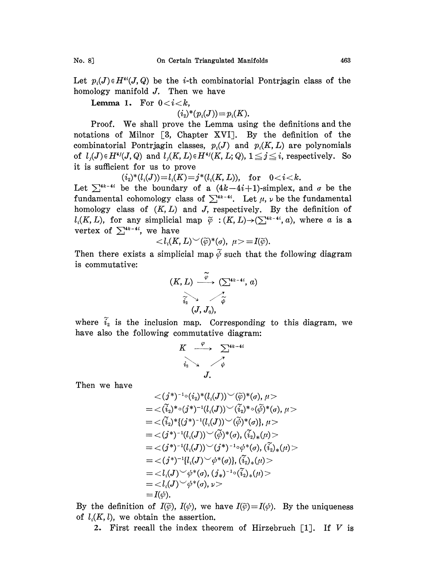Let  $p_i(J) \in H^{ii}(J, Q)$  be the *i*-th combinatorial Pontriagin class of the homology manifold J. Then we have

**Lemma 1.** For  $0 < i < k$ ,

$$
(i_{\scriptscriptstyle 2})^*(p_{\scriptscriptstyle i}(J)){=}p_{\scriptscriptstyle i}(K).
$$

Proof. We shall prove the Lemma using the definitions and the notations of Milnor [3, Chapter XVI]. By the definition of the combinatorial Pontrjagin classes,  $p_i(J)$  and  $p_i(K, L)$  are polynomials of  $l_j(J) \in H^{4j}(J, Q)$  and  $l_j(K, L) \in H^{4j}(K, L; Q), 1 \leq j \leq i$ , respectively. So it is sufficient for us to prove

 $(i_2)^*(l_i(J))=l_i(K)=j^*(l_i(K, L)),$  for  $0.$ 

Let  $\sum_{k=1}^{4k-4i}$  be the boundary of a  $(4k-4i+1)$ -simplex, and  $\sigma$  be the fundamental cohomology class of  $\sum_{k=1}^{4k-4i}$ . Let  $\mu$ ,  $\nu$  be the fundamental homology class of  $(K, L)$  and J, respectively. By the definition of  $l_i(K, L)$ , for any simplicial map  $\widetilde{\varphi} : (K, L) \rightarrow (\sum_{k=1}^{4k-4i} a)$ , where a is a vertex of  $\sum_{i=1}^{4k-4i}$ , we have

$$
\langle l_i(K,L)^\smile(\widetilde{\varphi})^*(\sigma), \ \mu \rangle = I(\widetilde{\varphi}).
$$

Then there exists a simplicial map  $\tilde{\varphi}$  such that the following diagram is commutative:

$$
(K, L) \xrightarrow{\widetilde{\varphi}} (\sum_{i_2}^{4k-4i}, a)
$$
  

$$
\widetilde{i_2} \searrow \qquad \widetilde{\widetilde{\varphi}}
$$
  

$$
(J, J_0),
$$

where  $i_2$  is the inclusion map. Corresponding to this diagram, we have also the following commutative diagram:

$$
K \xrightarrow{\varphi} \sum_{i_2}^{4k-4i}
$$
  

$$
i_2 \searrow \searrow \searrow
$$
  

$$
J.
$$

Then we have

$$
\langle (j^*)^{-1} \circ (i_2)^* (l_i(J)) \checkmark (\tilde{\varphi})^* (\sigma), \mu \rangle
$$
  
=  $\langle (\tilde{i}_2)^* \circ (j^*)^{-1} (l_i(J)) \checkmark (\tilde{i}_2)^* \circ (\tilde{\varphi})^* (\sigma), \mu \rangle$   
=  $\langle (\tilde{i}_2)^* \{ (j^*)^{-1} (l_i(J)) \checkmark (\tilde{\varphi})^* (\sigma) \}, \mu \rangle$   
=  $\langle (j^*)^{-1} (l_i(J)) \checkmark (\tilde{\varphi})^* (\sigma), (\tilde{i}_2)_* (\mu) \rangle$   
=  $\langle (j^*)^{-1} (l_i(J)) \checkmark (\tilde{\varphi})^* (\sigma), (\tilde{i}_2)_* (\mu) \rangle$   
=  $\langle (j^*)^{-1} [l_i(J) \checkmark \varphi^* (\sigma), (\tilde{i}_2)_* (\mu) \rangle$   
=  $\langle l_i(J) \checkmark \phi^* (\sigma), (j_*)^{-1} \circ (\tilde{i}_2)_* (\mu) \rangle$   
=  $\langle l_i(J) \checkmark (\sigma), \mu \rangle$   
=  $\langle l_i(J) \checkmark (\sigma), \nu \rangle$   
=  $I(\psi).$ 

By the definition of  $I(\tilde{\varphi})$ ,  $I(\psi)$ , we have  $I(\tilde{\varphi})=I(\psi)$ . By the uniqueness of  $l_i(K, l)$ , we obtain the assertion.

2. First recall the index theorem of Hirzebruch  $[1]$ . If V is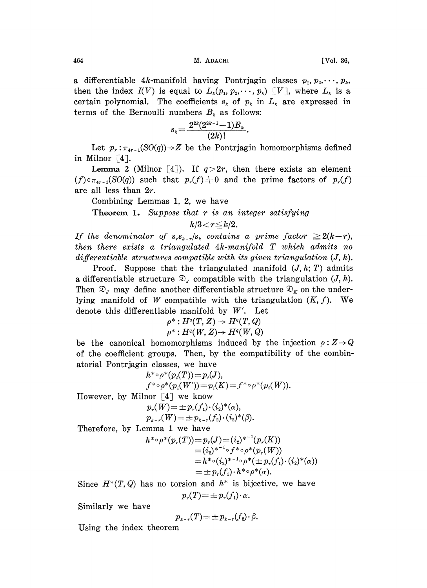464 М. АDACHI [Vol. 36,

a differentiable 4k-manifold having Pontrjagin classes  $p_1, p_2, \dots, p_k$ then the index  $I(V)$  is equal to  $L_k(p_1, p_2, \dots, p_k)$  [V], where  $L_k$  is a certain polynomial. The coefficients  $s_k$  of  $p_k$  in  $L_k$  are expressed in terms of the Bernoulli numbers  $B_k$  as follows:

$$
s_k \!=\! \frac{2^{2k} (2^{2k-1} \!-\! 1)B_k}{(2k)!}
$$

Let  $p_r: \pi_{4r-1}(SO(q)) \rightarrow Z$  be the Pontrjagin homomorphisms defined in Milnor  $\lceil 4 \rceil$ .

**Lemma 2** (Milnor [4]). If  $q>2r$ , then there exists an element  $(f) \in \pi_{4r-1}(SO(q))$  such that  $p_r(f) \neq 0$  and the prime factors of  $p_r(f)$ are all less than 2r.

Combining Lemmas 1, 2, we have

**Theorem 1.** Suppose that  $r$  is an integer satisfying

 $k/3 < r \leq k/2$ .

If the denominator of  $s_{r}s_{k-r}/s_{k}$  contains a prime factor  $\geq 2(k-r)$ , then there exists a triangulated 4k-manifold T which admits no differentiable structures compatible with its given triangulation  $(J, h)$ .

Proof. Suppose that the triangulated manifold  $(J, h; T)$  admits a differentiable structure  $\mathcal{D}_{\mathcal{J}}$  compatible with the triangulation  $(J, h)$ . Then  $\mathfrak{D}_J$  may define another differentiable structure  $\mathfrak{D}_K$  on the underlying manifold of W compatible with the triangulation  $(K, f)$ . We denote this differentiable manifold by  $W'$ . Let

$$
\rho^*: H^q(T,Z) \to H^q(T,Q)
$$
  

$$
\rho^*: H^q(W,Z) \to H^q(W,Q)
$$

be the canonical homomorphisms induced by the injection  $\rho: Z \rightarrow Q$ of the coefficient groups. Then, by the compatibility of the combinatorial Pontrjagin classes, we have

$$
h^*\circ \rho^*(p_i(T))=p_i(J),
$$
  

$$
f^*\circ \rho^*(p_i(W'))=p_i(K)=f^*\circ \rho^*(p_i(W)).
$$

However, by Milnor [4] we know

Inor [4] we know  
\n
$$
p_r(W) = \pm p_r(f_1) \cdot (i_2)^*(\alpha),
$$
  
\n $p_{k-r}(W) = \pm p_{k-r}(f_2) \cdot (i_2)^*(\beta).$ 

Therefore, by Lemma <sup>1</sup> we have

$$
h^{* \circ \rho^{*}}(p_{r}(T)) = p_{r}(J) = (i_{2})^{*^{-1}}(p_{r}(K))
$$
  
=  $(i_{2})^{*^{-1} \circ f^{*} \circ \rho^{*}}(p_{r}(W))$   
=  $h^{* \circ (i_{2})^{*^{-1} \circ \rho^{*}}(\pm p_{r}(f_{1}) \cdot (i_{2})^{*}(\alpha))$   
=  $\pm p_{r}(f_{1}) \cdot h^{* \circ \rho^{*}}(\alpha)$ .

Since  $H^*(T, Q)$  has no torsion and  $h^*$  is bijective, we have  $p_r(T) = \pm p_r(f_1) \cdot \alpha.$ 

Similarly we have

$$
p_{k-r}(T) = \pm p_{k-r}(f_2) \cdot \beta.
$$

Using the index theorem